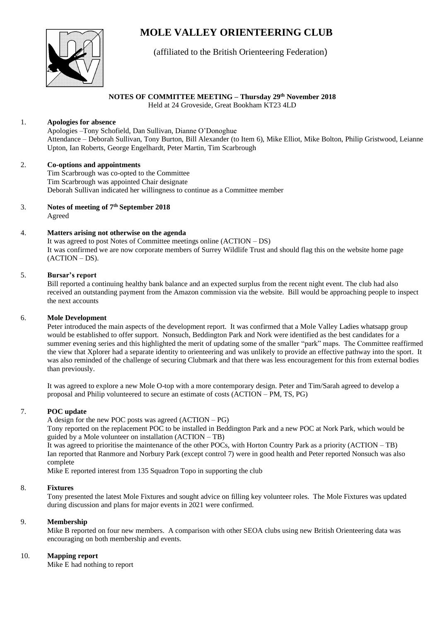# **MOLE VALLEY ORIENTEERING CLUB**



## (affiliated to the British Orienteering Federation)

#### **NOTES OF COMMITTEE MEETING – Thursday 29th November 2018**

Held at 24 Groveside, Great Bookham KT23 4LD

#### 1. **Apologies for absence**

Apologies –Tony Schofield, Dan Sullivan, Dianne O'Donoghue Attendance – Deborah Sullivan, Tony Burton, Bill Alexander (to Item 6), Mike Elliot, Mike Bolton, Philip Gristwood, Leianne Upton, Ian Roberts, George Engelhardt, Peter Martin, Tim Scarbrough

#### 2. **Co-options and appointments**

Tim Scarbrough was co-opted to the Committee Tim Scarbrough was appointed Chair designate Deborah Sullivan indicated her willingness to continue as a Committee member

3. **Notes of meeting of 7 th September 2018** Agreed

## 4. **Matters arising not otherwise on the agenda**

It was agreed to post Notes of Committee meetings online (ACTION – DS) It was confirmed we are now corporate members of Surrey Wildlife Trust and should flag this on the website home page (ACTION – DS).

#### 5. **Bursar's report**

Bill reported a continuing healthy bank balance and an expected surplus from the recent night event. The club had also received an outstanding payment from the Amazon commission via the website. Bill would be approaching people to inspect the next accounts

#### 6. **Mole Development**

Peter introduced the main aspects of the development report. It was confirmed that a Mole Valley Ladies whatsapp group would be established to offer support. Nonsuch, Beddington Park and Nork were identified as the best candidates for a summer evening series and this highlighted the merit of updating some of the smaller "park" maps. The Committee reaffirmed the view that Xplorer had a separate identity to orienteering and was unlikely to provide an effective pathway into the sport. It was also reminded of the challenge of securing Clubmark and that there was less encouragement for this from external bodies than previously.

It was agreed to explore a new Mole O-top with a more contemporary design. Peter and Tim/Sarah agreed to develop a proposal and Philip volunteered to secure an estimate of costs (ACTION – PM, TS, PG)

#### 7. **POC update**

A design for the new POC posts was agreed (ACTION – PG)

Tony reported on the replacement POC to be installed in Beddington Park and a new POC at Nork Park, which would be guided by a Mole volunteer on installation (ACTION – TB)

It was agreed to prioritise the maintenance of the other POCs, with Horton Country Park as a priority (ACTION – TB) Ian reported that Ranmore and Norbury Park (except control 7) were in good health and Peter reported Nonsuch was also complete

Mike E reported interest from 135 Squadron Topo in supporting the club

#### 8. **Fixtures**

Tony presented the latest Mole Fixtures and sought advice on filling key volunteer roles. The Mole Fixtures was updated during discussion and plans for major events in 2021 were confirmed.

#### 9. **Membership**

Mike B reported on four new members. A comparison with other SEOA clubs using new British Orienteering data was encouraging on both membership and events.

#### 10. **Mapping report**

Mike E had nothing to report